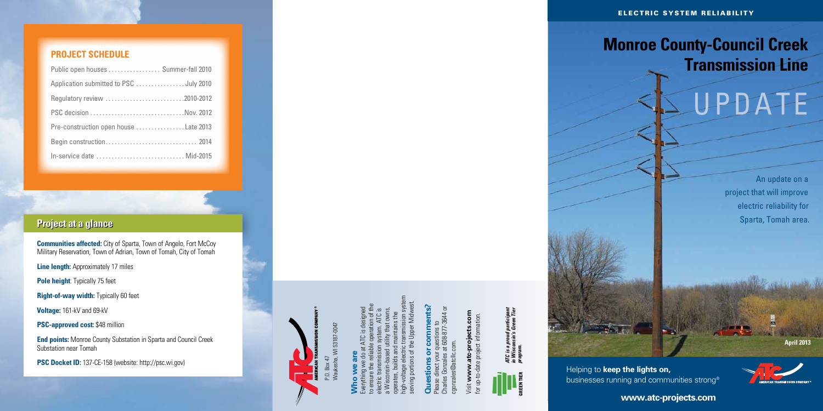# **Monroe County-Council Creek Transmission Line**

Helping to **keep the lights on, businesses running and communities strong®** 



**April 2013**



**www.atc-projects.com**

# **Who we are**

Charles Gonzales at 608-877-3644 or Please direct your questions to cgonzales@atcllc.com. qonzales@atcl

Visit **www.atc-projects.com** for up-to-date project information. /isit www.atc--qu



Everything we do at ATC is designed to ensure the reliable operation of the electric transmission system. ATC is a Wisconsin-based utility that owns, operates, builds and maintains the high-voltage electric transmission system serving portions of the Upper Midwest.

*ATC is a proud participant in Wisconsin's Green Tier ATC is a proud participant<br>in Wisconsin's Green Tier<br>program.* 

Waukesha, WI 53187-0047 53187-004

# **Questions or comments?**



# UPDATE

An update on a project that will improve electric reliability for Sparta, Tomah area.

## **Project schedule**

| Public open houses  Summer-fall 2010  |  |
|---------------------------------------|--|
|                                       |  |
| Regulatory review 2010-2012           |  |
| PSC decision Nov. 2012                |  |
| Pre-construction open house Late 2013 |  |
|                                       |  |
| In-service date  Mid-2015             |  |

## **Project at a glance**

**Communities affected:** City of Sparta, Town of Angelo, Fort McCoy Military Reservation, Town of Adrian, Town of Tomah, City of Tomah

**Line length:** Approximately 17 miles

**Pole height:** Typically 75 feet

**Right-of-way width:** Typically 60 feet

**Voltage:** 161-kV and 69-kV

**PSC-approved cost:** \$48 million

**End points:** Monroe County Substation in Sparta and Council Creek Substation near Tomah

**PSC Docket ID:** 137-CE-158 (website: http://psc.wi.gov)